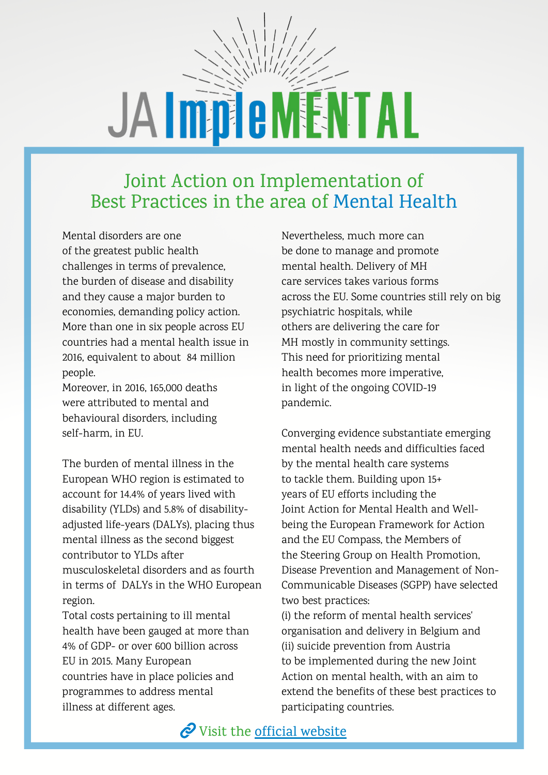# **JAIMDIEMENTAL**

#### Joint Action on Implementation of Best Practices in the area of Mental Health

Mental disorders are one of the greatest public health challenges in terms of prevalence, the burden of disease and disability and they cause a major burden to economies, demanding policy action. More than one in six people across EU countries had a mental health issue in 2016, equivalent to about 84 million people.

Moreover, in 2016, 165,000 deaths were attributed to mental and behavioural disorders, including self-harm, in EU.

The burden of mental illness in the European WHO region is estimated to account for 14.4% of years lived with disability (YLDs) and 5.8% of disabilityadjusted life-years (DALYs), placing thus mental illness as the second biggest contributor to YLDs after musculoskeletal disorders and as fourth in terms of DALYs in the WHO European region.

Total costs pertaining to ill mental health have been gauged at more than 4% of GDP- or over 600 billion across EU in 2015. Many European countries have in place policies and programmes to address mental illness at different ages.

Nevertheless, much more can be done to manage and promote mental health. Delivery of MH care services takes various forms across the EU. Some countries still rely on big psychiatric hospitals, while others are delivering the care for MH mostly in community settings. This need for prioritizing mental health becomes more imperative, in light of the ongoing COVID-19 pandemic.

Converging evidence substantiate emerging mental health needs and difficulties faced by the mental health care systems to tackle them. Building upon 15+ years of EU efforts including the Joint Action for Mental Health and Wellbeing the European Framework for Action and the EU Compass, the Members of the Steering Group on Health Promotion, Disease Prevention and Management of Non-Communicable Diseases (SGPP) have selected two best practices:

(i) the reform of mental health services' organisation and delivery in Belgium and (ii) suicide prevention from Austria to be implemented during the new Joint Action on mental health, with an aim to extend the benefits of these best practices to participating countries.

#### $\mathcal O$  Visit the official [website](https://ja-implemental.eu/)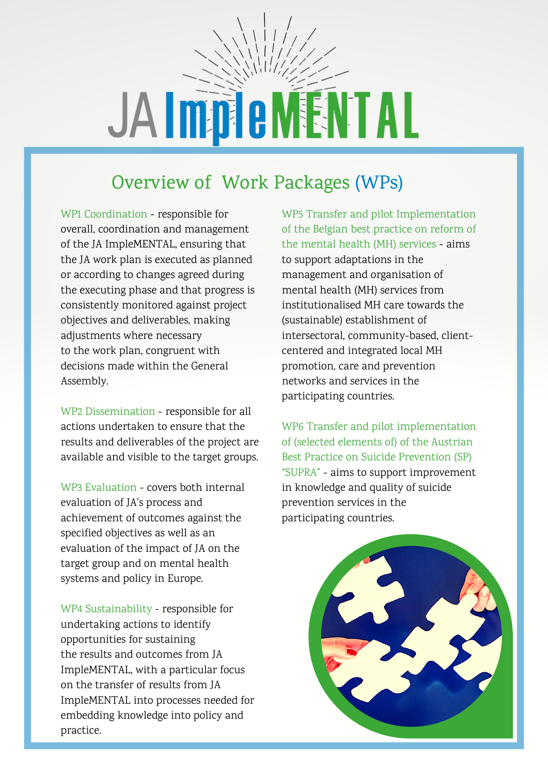

#### Overview of Work Packages (WPs)

WP1 Coordination - responsible for overall, coordination and management of the JA ImpleMENTAL, ensuring that the JA work plan is executed as planned or according to changes agreed during the executing phase and that progress is consistently monitored against project objectives and deliverables, making adjustments where necessary to the work plan, congruent with decisions made within the General Assembly.

WP2 Dissemination - responsible for all actions undertaken to ensure that the results and deliverables of the project are available and visible to the target groups.

WP3 Evaluation - covers both internal evaluation of JA's process and achievement of outcomes against the specified objectives as well as an evaluation of the impact of JA on the target group and on mental health systems and policy in Europe.

WP4 Sustainability - responsible for undertaking actions to identify opportunities for sustaining the results and outcomes from JA ImpleMENTAL, with a particular focus on the transfer of results from JA ImpleMENTAL into processes needed for embedding knowledge into policy and practice.

WP5 Transfer and pilot Implementation of the Belgian best practice on reform of the mental health (MH) services - aims to support adaptations in the management and organisation of mental health (MH) services from institutionalised MH care towards the (sustainable) establishment of intersectoral, community-based, clientcentered and integrated local MH promotion, care and prevention networks and services in the participating countries.

WP6 Transfer and pilot implementation of (selected elements of) of the Austrian Best Practice on Suicide Prevention (SP) "SUPRA" - aims to support improvement in knowledge and quality of suicide prevention services in the participating countries.